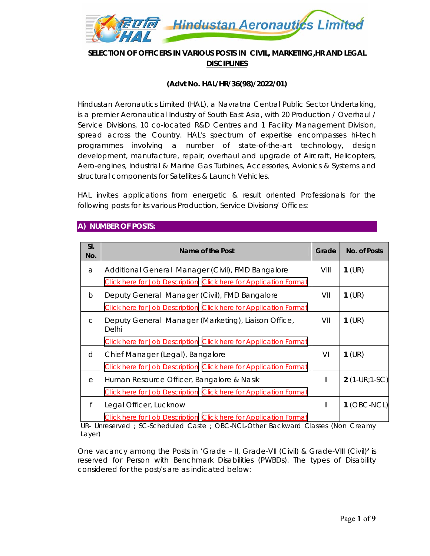

## **SELECTION OF OFFICERS IN VARIOUS POSTS IN CIVIL, MARKETING,HR AND LEGAL DISCIPLINES**

#### **(Advt No. HAL/HR/36(98)/2022/01)**

Hindustan Aeronautics Limited (HAL), a Navratna Central Public Sector Undertaking, is a premier Aeronautical Industry of South East Asia, with 20 Production / Overhaul / Service Divisions, 10 co-located R&D Centres and 1 Facility Management Division, spread across the Country. HAL's spectrum of expertise encompasses hi-tech programmes involving a number of state-of-the-art technology, design development, manufacture, repair, overhaul and upgrade of Aircraft, Helicopters, Aero-engines, Industrial & Marine Gas Turbines, Accessories, Avionics & Systems and structural components for Satellites & Launch Vehicles.

HAL invites applications from energetic & result oriented Professionals for the following posts for its various Production, Service Divisions/ Offices:

#### **A) NUMBER OF POSTS:**

| SI.<br>No.   | Name of the Post                                                        | Grade | No. of Posts    |
|--------------|-------------------------------------------------------------------------|-------|-----------------|
| a            | Additional General Manager (Civil), FMD Bangalore                       | VIII  | $1$ (UR)        |
|              | <b>Click here for Job Description Click here for Application Format</b> |       |                 |
| b            | Deputy General Manager (Civil), FMD Bangalore                           | VII   | $1$ (UR)        |
|              | Click here for Job Description Click here for Application Format        |       |                 |
| $\mathsf{C}$ | Deputy General Manager (Marketing), Liaison Office,<br>Delhi            | VII   | $1$ (UR)        |
|              | <b>Click here for Job Description Click here for Application Format</b> |       |                 |
| d            | Chief Manager (Legal), Bangalore                                        | VI    | $1$ (UR)        |
|              | Click here for Job Description Click here for Application Format        |       |                 |
| е            | Human Resource Officer, Bangalore & Nasik                               | Ш     | $2(1-UR; 1-SC)$ |
|              | Click here for Job Description Click here for Application Format        |       |                 |
| f            | Legal Officer, Lucknow                                                  | Ш     | $1$ (OBC-NCL)   |
|              | Click here for Job Description Click here for Application Format        |       |                 |

UR- Unreserved ; SC-Scheduled Caste ; OBC-NCL-Other Backward Classes (Non Creamy Layer)

One vacancy among the Posts in 'Grade – II, Grade-VII (Civil) & Grade-VIII (Civil)**'** is reserved for Person with Benchmark Disabilities (PWBDs). The types of Disability considered for the post/s are as indicated below: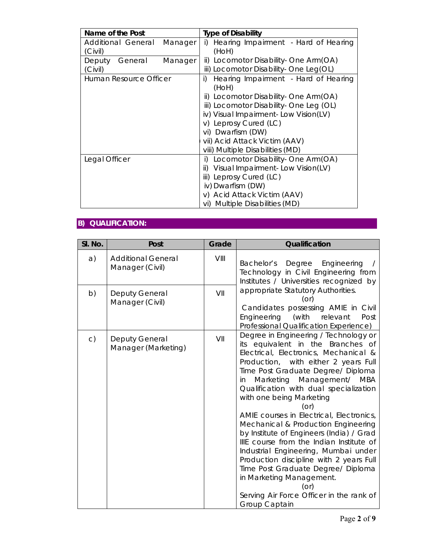| Name of the Post                         | <b>Type of Disability</b>                                                                                                                                                                                                                                                                            |  |  |
|------------------------------------------|------------------------------------------------------------------------------------------------------------------------------------------------------------------------------------------------------------------------------------------------------------------------------------------------------|--|--|
| Additional General<br>Manager<br>(Civil) | Hearing Impairment - Hard of Hearing<br>i)<br>(HoH)                                                                                                                                                                                                                                                  |  |  |
| Manager<br>Deputy<br>General<br>(Civil)  | ii) Locomotor Disability - One Arm(OA)<br>iii) Locomotor Disability - One Leg(OL)                                                                                                                                                                                                                    |  |  |
| Human Resource Officer                   | Hearing Impairment - Hard of Hearing<br>i)<br>(HoH)<br>ii) Locomotor Disability- One Arm(OA)<br>iii) Locomotor Disability - One Leg (OL)<br>iv) Visual Impairment- Low Vision(LV)<br>v) Leprosy Cured (LC)<br>vi) Dwarfism (DW)<br>vii) Acid Attack Victim (AAV)<br>viii) Multiple Disabilities (MD) |  |  |
| Legal Officer                            | Locomotor Disability - One Arm (OA)<br>i)<br>Visual Impairment-Low Vision(LV)<br>ii)<br>iii) Leprosy Cured (LC)<br>iv) Dwarfism (DW)<br>v) Acid Attack Victim (AAV)<br>vi) Multiple Disabilities (MD)                                                                                                |  |  |

# **B) QUALIFICATION:**

| SI. No.        | Post                                         | Grade | Qualification                                                                                                                                                                                                                                                                                                                                                                                                                                                                                                                                                                                                                                                                                                            |
|----------------|----------------------------------------------|-------|--------------------------------------------------------------------------------------------------------------------------------------------------------------------------------------------------------------------------------------------------------------------------------------------------------------------------------------------------------------------------------------------------------------------------------------------------------------------------------------------------------------------------------------------------------------------------------------------------------------------------------------------------------------------------------------------------------------------------|
| a)             | <b>Additional General</b><br>Manager (Civil) | VIII  | Degree Engineering<br>Bachelor's<br>Technology in Civil Engineering from<br>Institutes / Universities recognized by                                                                                                                                                                                                                                                                                                                                                                                                                                                                                                                                                                                                      |
| b)             | <b>Deputy General</b><br>Manager (Civil)     | VII   | appropriate Statutory Authorities.<br>(or)<br>Candidates possessing AMIE in Civil<br>Engineering<br>(with<br>relevant<br>Post<br>Professional Qualification Experience)                                                                                                                                                                                                                                                                                                                                                                                                                                                                                                                                                  |
| $\mathsf{C}$ ) | <b>Deputy General</b><br>Manager (Marketing) | VII   | Degree in Engineering / Technology or<br>its equivalent in the Branches of<br>Electrical, Electronics, Mechanical &<br>Production, with either 2 years Full<br>Time Post Graduate Degree/ Diploma<br>Marketing Management/ MBA<br>in.<br>Qualification with dual specialization<br>with one being Marketing<br>(or)<br>AMIE courses in Electrical, Electronics,<br>Mechanical & Production Engineering<br>by Institute of Engineers (India) / Grad<br>IIIE course from the Indian Institute of<br>Industrial Engineering, Mumbai under<br>Production discipline with 2 years Full<br>Time Post Graduate Degree/ Diploma<br>in Marketing Management.<br>(or)<br>Serving Air Force Officer in the rank of<br>Group Captain |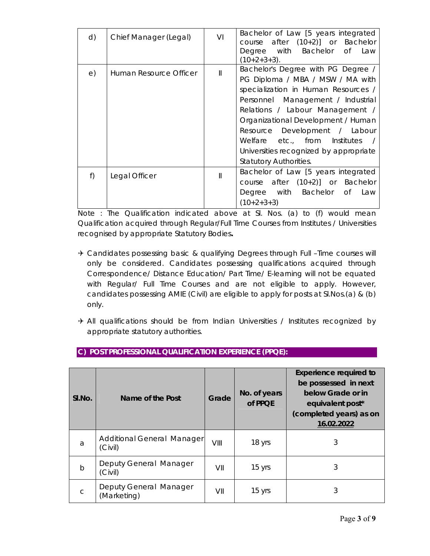| d) | Chief Manager (Legal)  | VI           | Bachelor of Law [5 years integrated<br>course after $(10+2)$ ] or Bachelor<br>Degree with Bachelor of<br>Law<br>$(10+2+3+3)$ .                                                                                                                                                                                                                                           |
|----|------------------------|--------------|--------------------------------------------------------------------------------------------------------------------------------------------------------------------------------------------------------------------------------------------------------------------------------------------------------------------------------------------------------------------------|
| e) | Human Resource Officer | $\mathsf{I}$ | Bachelor's Degree with PG Degree /<br>PG Diploma / MBA / MSW / MA with<br>specialization in Human Resources /<br>Personnel Management / Industrial<br>Relations / Labour Management /<br>Organizational Development / Human<br>Resource Development / Labour<br>Welfare etc., from Institutes<br>Universities recognized by appropriate<br><b>Statutory Authorities.</b> |
| f) | Legal Officer          | Ш            | Bachelor of Law [5 years integrated<br>course after $(10+2)$ ] or Bachelor<br>Degree with Bachelor<br>0f<br>Law<br>$(10+2+3+3)$                                                                                                                                                                                                                                          |

Note : The Qualification indicated above at Sl. Nos. (a) to (f) would mean Qualification acquired through Regular/Full Time Courses from Institutes / Universities recognised by appropriate Statutory Bodies**.** 

- → Candidates possessing basic & qualifying Degrees through Full –Time courses will only be considered. Candidates possessing qualifications acquired through Correspondence/ Distance Education/ Part Time/ E-learning will not be equated with Regular/ Full Time Courses and are not eligible to apply. However, candidates possessing AMIE (Civil) are eligible to apply for posts at Sl.Nos.(a) & (b) only.
- $\rightarrow$  All qualifications should be from Indian Universities / Institutes recognized by appropriate statutory authorities.

| SI.No.       | Name of the Post                      | Grade | No. of years<br>of PPQE | <b>Experience required to</b><br>be possessed in next<br>below Grade or in<br>equivalent post*<br>(completed years) as on<br>16.02.2022 |
|--------------|---------------------------------------|-------|-------------------------|-----------------------------------------------------------------------------------------------------------------------------------------|
| a            | Additional General Manager<br>(Civil) | VIII  | 18 yrs                  | 3                                                                                                                                       |
| $\mathsf{b}$ | Deputy General Manager<br>(Civil)     | VII   | 15 yrs                  | 3                                                                                                                                       |
| $\mathsf{C}$ | Deputy General Manager<br>(Marketing) | VII   | 15 yrs                  | 3                                                                                                                                       |

# **C) POST PROFESSIONAL QUALIFICATION EXPERIENCE (PPQE):**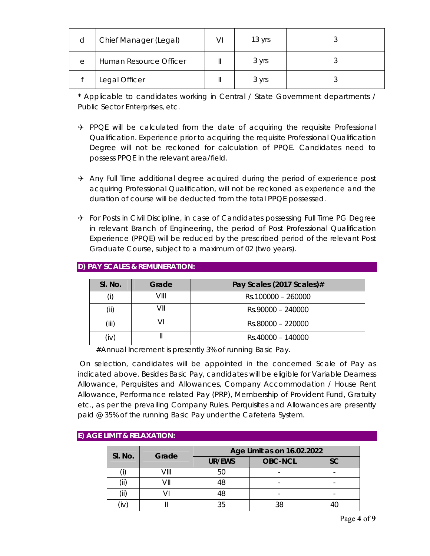| d | Chief Manager (Legal)  | VI | 13 yrs |  |
|---|------------------------|----|--------|--|
| е | Human Resource Officer |    | 3 yrs  |  |
|   | Legal Officer          |    | 3 yrs  |  |

\* Applicable to candidates working in Central / State Government departments / Public Sector Enterprises, etc.

- $\rightarrow$  PPQE will be calculated from the date of acquiring the requisite Professional Qualification. Experience prior to acquiring the requisite Professional Qualification Degree will not be reckoned for calculation of PPQE. Candidates need to possess PPQE in the relevant area/field.
- $\rightarrow$  Any Full Time additional degree acquired during the period of experience post acquiring Professional Qualification, will not be reckoned as experience and the duration of course will be deducted from the total PPQE possessed.
- $\rightarrow$  For Posts in Civil Discipline, in case of Candidates possessing Full Time PG Degree in relevant Branch of Engineering, the period of Post Professional Qualification Experience (PPQE) will be reduced by the prescribed period of the relevant Post Graduate Course, subject to a maximum of 02 (two years).

| SI. No. | Grade | Pay Scales (2017 Scales)# |
|---------|-------|---------------------------|
|         | VIII  | Rs.100000 - 260000        |
| (iii)   |       | $Rs.90000 - 240000$       |
| (iii)   |       | Rs.80000 - 220000         |
| (iv)    |       | Rs.40000 - 140000         |

## **D) PAY SCALES & REMUNERATION:**

#Annual Increment is presently 3% of running Basic Pay.

 On selection, candidates will be appointed in the concerned Scale of Pay as indicated above. Besides Basic Pay, candidates will be eligible for Variable Dearness Allowance, Perquisites and Allowances, Company Accommodation / House Rent Allowance, Performance related Pay (PRP), Membership of Provident Fund, Gratuity etc., as per the prevailing Company Rules. Perquisites and Allowances are presently paid @ 35% of the running Basic Pay under the Cafeteria System.

## **E) AGE LIMIT & RELAXATION:**

| SI. No. | Grade | Age Limit as on 16.02.2022 |                |           |  |
|---------|-------|----------------------------|----------------|-----------|--|
|         |       | UR/EWS                     | <b>OBC-NCL</b> | <b>SC</b> |  |
|         | VIII  | 50                         |                |           |  |
|         |       | 48                         |                |           |  |
|         |       | 48                         |                |           |  |
|         |       | 35                         | 38             |           |  |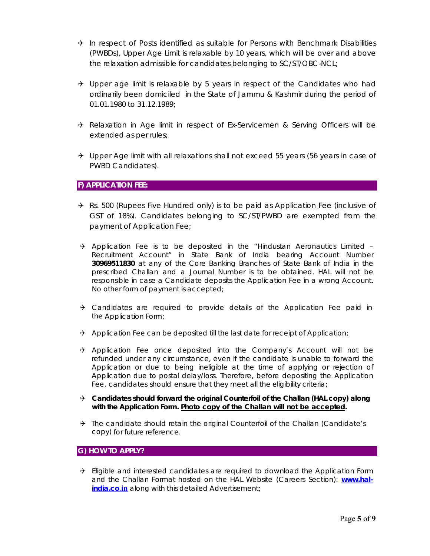- $\rightarrow$  In respect of Posts identified as suitable for Persons with Benchmark Disabilities (PWBDs), Upper Age Limit is relaxable by 10 years, which will be over and above the relaxation admissible for candidates belonging to SC/ST/OBC-NCL;
- $\rightarrow$  Upper age limit is relaxable by 5 years in respect of the Candidates who had ordinarily been domiciled in the State of Jammu & Kashmir during the period of 01.01.1980 to 31.12.1989;
- → Relaxation in Age limit in respect of Ex-Servicemen & Serving Officers will be extended as per rules;
- $\rightarrow$  Upper Age limit with all relaxations shall not exceed 55 years (56 years in case of PWBD Candidates).

#### **F) APPLICATION FEE:**

- $\rightarrow$  Rs. 500 (Rupees Five Hundred only) is to be paid as Application Fee (inclusive of GST of 18%). Candidates belonging to SC/ST/PWBD are exempted from the payment of Application Fee;
- $\rightarrow$  Application Fee is to be deposited in the "Hindustan Aeronautics Limited -Recruitment Account" in State Bank of India bearing Account Number **30969511830** at any of the Core Banking Branches of State Bank of India in the prescribed Challan and a Journal Number is to be obtained. HAL will not be responsible in case a Candidate deposits the Application Fee in a wrong Account. No other form of payment is accepted;
- $\rightarrow$  Candidates are required to provide details of the Application Fee paid in the Application Form;
- $\rightarrow$  Application Fee can be deposited till the last date for receipt of Application;
- $\rightarrow$  Application Fee once deposited into the Company's Account will not be refunded under any circumstance, even if the candidate is unable to forward the Application or due to being ineligible at the time of applying or rejection of Application due to postal delay/loss. Therefore, before depositing the Application Fee, candidates should ensure that they meet all the eligibility criteria;
- **Candidates should forward the original Counterfoil of the Challan (HAL copy) along with the Application Form. Photo copy of the Challan will not be accepted.**
- $\rightarrow$  The candidate should retain the original Counterfoil of the Challan (Candidate's copy) for future reference.

#### **G) HOW TO APPLY?**

 $\rightarrow$  Eligible and interested candidates are required to download the Application Form and the Challan Format hosted on the HAL Website (Careers Section): **www.halindia.co.in** along with this detailed Advertisement;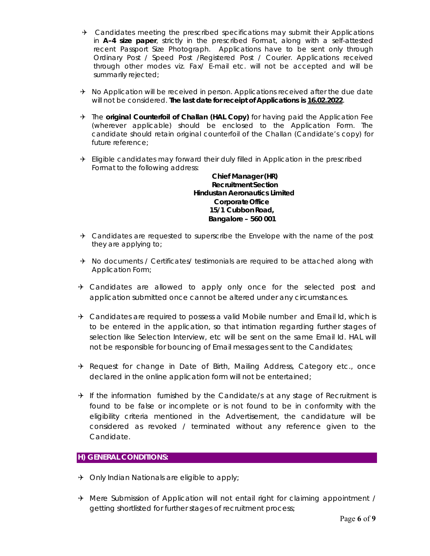- $\rightarrow$  Candidates meeting the prescribed specifications may submit their Applications in **A-4 size paper**, strictly in the prescribed Format, along with a self-attested recent Passport Size Photograph. Applications have to be sent only through Ordinary Post / Speed Post /Registered Post / Courier. Applications received through other modes viz. Fax/ E-mail etc. will not be accepted and will be summarily rejected;
- $\rightarrow$  No Application will be received in person. Applications received after the due date will not be considered. **The last date for receipt of Applications is 16.02.2022**.
- The **original Counterfoil of Challan (HAL Copy)** for having paid the Application Fee (wherever applicable) should be enclosed to the Application Form. The candidate should retain original counterfoil of the Challan (Candidate's copy) for future reference;
- $\rightarrow$  Eligible candidates may forward their duly filled in Application in the prescribed Format to the following address:

**Chief Manager (HR) Recruitment Section Hindustan Aeronautics Limited Corporate Office 15/1 Cubbon Road, Bangalore – 560 001**

- $\rightarrow$  Candidates are requested to superscribe the Envelope with the name of the post they are applying to;
- $\rightarrow$  No documents / Certificates/ testimonials are required to be attached along with Application Form;
- $\rightarrow$  Candidates are allowed to apply only once for the selected post and application submitted once cannot be altered under any circumstances.
- $\rightarrow$  Candidates are required to possess a valid Mobile number and Email Id, which is to be entered in the application, so that intimation regarding further stages of selection like Selection Interview, etc will be sent on the same Email Id. HAL will not be responsible for bouncing of Email messages sent to the Candidates;
- A Request for change in Date of Birth, Mailing Address, Category etc., once declared in the online application form will not be entertained;
- $\rightarrow$  If the information furnished by the Candidate/s at any stage of Recruitment is found to be false or incomplete or is not found to be in conformity with the eligibility criteria mentioned in the Advertisement, the candidature will be considered as revoked / terminated without any reference given to the Candidate.

#### **H) GENERAL CONDITIONS:**

- $\rightarrow$  Only Indian Nationals are eligible to apply;
- $\rightarrow$  Mere Submission of Application will not entail right for claiming appointment / getting shortlisted for further stages of recruitment process;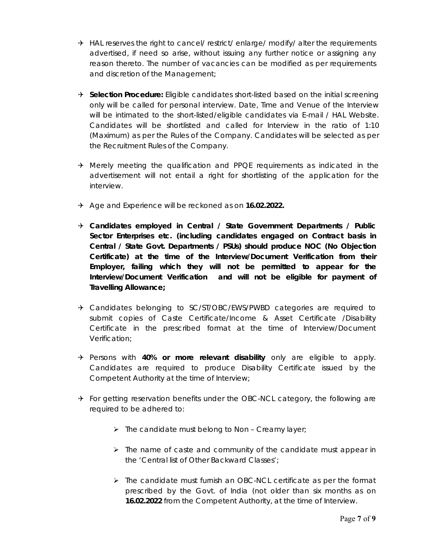- $\rightarrow$  HAL reserves the right to cancel/ restrict/ enlarge/ modify/ alter the requirements advertised, if need so arise, without issuing any further notice or assigning any reason thereto. The number of vacancies can be modified as per requirements and discretion of the Management;
- **B** Selection Procedure: Eligible candidates short-listed based on the initial screening only will be called for personal interview. Date, Time and Venue of the Interview will be intimated to the short-listed/eligible candidates via E-mail / HAL Website. Candidates will be shortlisted and called for Interview in the ratio of 1:10 (Maximum) as per the Rules of the Company. Candidates will be selected as per the Recruitment Rules of the Company.
- $\rightarrow$  Merely meeting the qualification and PPQE requirements as indicated in the advertisement will not entail a right for shortlisting of the application for the interview.
- Age and Experience will be reckoned as on **16.02.2022.**
- **Candidates employed in Central / State Government Departments / Public Sector Enterprises etc. (including candidates engaged on Contract basis in Central / State Govt. Departments / PSUs) should produce NOC (No Objection Certificate) at the time of the Interview/Document Verification from their Employer, failing which they will not be permitted to appear for the Interview/Document Verification and will not be eligible for payment of Travelling Allowance;**
- → Candidates belonging to SC/ST/OBC/EWS/PWBD categories are required to submit copies of Caste Certificate/Income & Asset Certificate /Disability Certificate in the prescribed format at the time of Interview/Document Verification;
- Persons with **40% or more relevant disability** only are eligible to apply. Candidates are required to produce Disability Certificate issued by the Competent Authority at the time of Interview;
- $\rightarrow$  For getting reservation benefits under the OBC-NCL category, the following are required to be adhered to:
	- $\triangleright$  The candidate must belong to Non Creamy layer;
	- $\triangleright$  The name of caste and community of the candidate must appear in the 'Central list of Other Backward Classes';
	- $\triangleright$  The candidate must furnish an OBC-NCL certificate as per the format prescribed by the Govt. of India (not older than six months as on **16.02.2022** from the Competent Authority, at the time of Interview.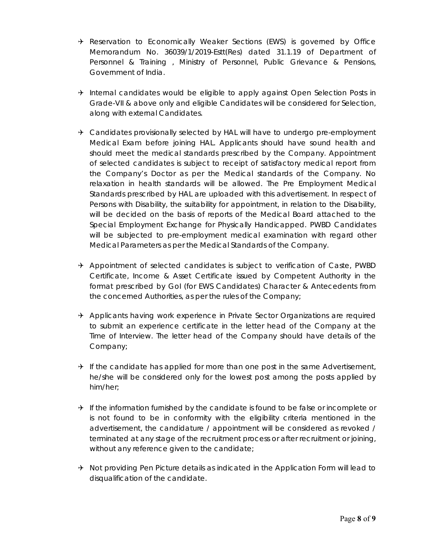- $\rightarrow$  Reservation to Economically Weaker Sections (EWS) is governed by Office Memorandum No. 36039/1/2019-Estt(Res) dated 31.1.19 of Department of Personnel & Training , Ministry of Personnel, Public Grievance & Pensions, Government of India.
- $\rightarrow$  Internal candidates would be eligible to apply against Open Selection Posts in Grade-VII & above only and eligible Candidates will be considered for Selection, along with external Candidates.
- $\rightarrow$  Candidates provisionally selected by HAL will have to undergo pre-employment Medical Exam before joining HAL. Applicants should have sound health and should meet the medical standards prescribed by the Company. Appointment of selected candidates is subject to receipt of satisfactory medical report from the Company's Doctor as per the Medical standards of the Company. No relaxation in health standards will be allowed. The Pre Employment Medical Standards prescribed by HAL are uploaded with this advertisement. In respect of Persons with Disability, the suitability for appointment, in relation to the Disability, will be decided on the basis of reports of the Medical Board attached to the Special Employment Exchange for Physically Handicapped. PWBD Candidates will be subjected to pre-employment medical examination with regard other Medical Parameters as per the Medical Standards of the Company.
- $\rightarrow$  Appointment of selected candidates is subject to verification of Caste, PWBD Certificate, Income & Asset Certificate issued by Competent Authority in the format prescribed by GoI (for EWS Candidates) Character & Antecedents from the concerned Authorities, as per the rules of the Company;
- $\rightarrow$  Applicants having work experience in Private Sector Organizations are required to submit an experience certificate in the letter head of the Company at the Time of Interview. The letter head of the Company should have details of the Company;
- $\rightarrow$  If the candidate has applied for more than one post in the same Advertisement, he/she will be considered only for the lowest post among the posts applied by him/her;
- $\rightarrow$  If the information furnished by the candidate is found to be false or incomplete or is not found to be in conformity with the eligibility criteria mentioned in the advertisement, the candidature / appointment will be considered as revoked / terminated at any stage of the recruitment process or after recruitment or joining, without any reference given to the candidate;
- $\rightarrow$  Not providing Pen Picture details as indicated in the Application Form will lead to disqualification of the candidate.